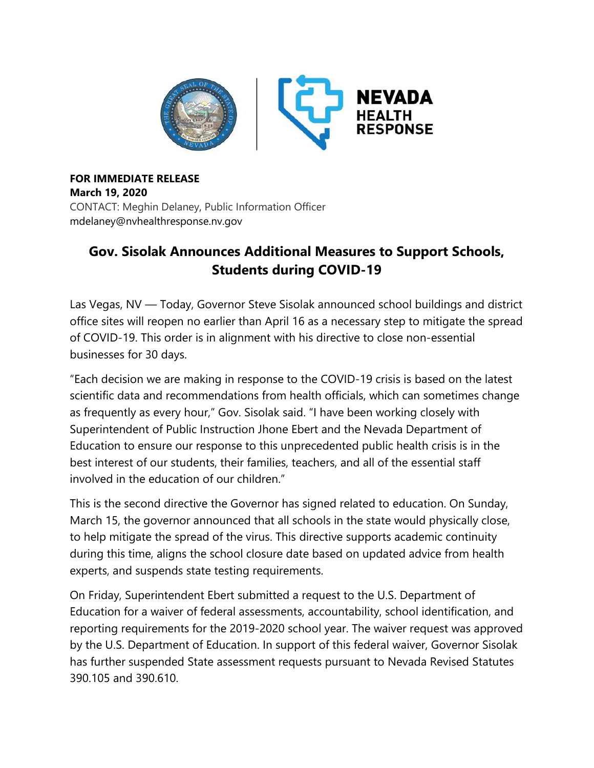

## **FOR IMMEDIATE RELEASE March 19, 2020** CONTACT: Meghin Delaney, Public Information Officer mdelaney@nvhealthresponse.nv.gov

## **Gov. Sisolak Announces Additional Measures to Support Schools, Students during COVID-19**

Las Vegas, NV — Today, Governor Steve Sisolak announced school buildings and district office sites will reopen no earlier than April 16 as a necessary step to mitigate the spread of COVID-19. This order is in alignment with his directive to close non-essential businesses for 30 days.

"Each decision we are making in response to the COVID-19 crisis is based on the latest scientific data and recommendations from health officials, which can sometimes change as frequently as every hour," Gov. Sisolak said. "I have been working closely with Superintendent of Public Instruction Jhone Ebert and the Nevada Department of Education to ensure our response to this unprecedented public health crisis is in the best interest of our students, their families, teachers, and all of the essential staff involved in the education of our children."

This is the second directive the Governor has signed related to education. On Sunday, March 15, the governor announced that all schools in the state would physically close, to help mitigate the spread of the virus. This directive supports academic continuity during this time, aligns the school closure date based on updated advice from health experts, and suspends state testing requirements.

On Friday, Superintendent Ebert submitted a request to the U.S. Department of Education for a waiver of federal assessments, accountability, school identification, and reporting requirements for the 2019-2020 school year. The waiver request was approved by the U.S. Department of Education. In support of this federal waiver, Governor Sisolak has further suspended State assessment requests pursuant to Nevada Revised Statutes 390.105 and 390.610.